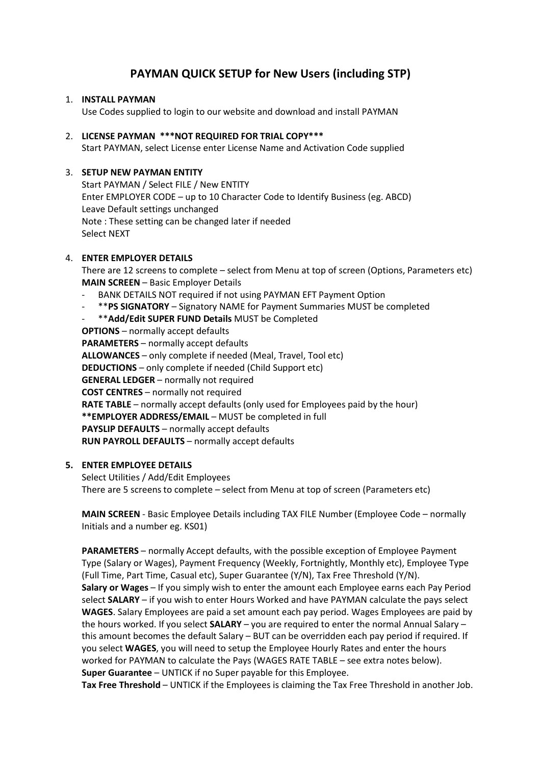# **PAYMAN QUICK SETUP for New Users (including STP)**

#### 1. **INSTALL PAYMAN**

Use Codes supplied to login to our website and download and install PAYMAN

## 2. **LICENSE PAYMAN \*\*\*NOT REQUIRED FOR TRIAL COPY\*\*\***

Start PAYMAN, select License enter License Name and Activation Code supplied

# 3. **SETUP NEW PAYMAN ENTITY**

Start PAYMAN / Select FILE / New ENTITY Enter EMPLOYER CODE – up to 10 Character Code to Identify Business (eg. ABCD) Leave Default settings unchanged Note : These setting can be changed later if needed Select NEXT

## 4. **ENTER EMPLOYER DETAILS**

There are 12 screens to complete – select from Menu at top of screen (Options, Parameters etc) **MAIN SCREEN** – Basic Employer Details

- BANK DETAILS NOT required if not using PAYMAN EFT Payment Option
- \*\***PS SIGNATORY** Signatory NAME for Payment Summaries MUST be completed
- \*\***Add/Edit SUPER FUND Details** MUST be Completed

**OPTIONS** – normally accept defaults **PARAMETERS** – normally accept defaults **ALLOWANCES** – only complete if needed (Meal, Travel, Tool etc) **DEDUCTIONS** – only complete if needed (Child Support etc) **GENERAL LEDGER** – normally not required **COST CENTRES** – normally not required **RATE TABLE** – normally accept defaults (only used for Employees paid by the hour) **\*\*EMPLOYER ADDRESS/EMAIL** – MUST be completed in full **PAYSLIP DEFAULTS** – normally accept defaults **RUN PAYROLL DEFAULTS** – normally accept defaults

#### **5. ENTER EMPLOYEE DETAILS**

Select Utilities / Add/Edit Employees There are 5 screens to complete – select from Menu at top of screen (Parameters etc)

**MAIN SCREEN** - Basic Employee Details including TAX FILE Number (Employee Code – normally Initials and a number eg. KS01)

**PARAMETERS** – normally Accept defaults, with the possible exception of Employee Payment Type (Salary or Wages), Payment Frequency (Weekly, Fortnightly, Monthly etc), Employee Type (Full Time, Part Time, Casual etc), Super Guarantee (Y/N), Tax Free Threshold (Y/N). **Salary or Wages** – If you simply wish to enter the amount each Employee earns each Pay Period select **SALARY** – if you wish to enter Hours Worked and have PAYMAN calculate the pays select **WAGES**. Salary Employees are paid a set amount each pay period. Wages Employees are paid by the hours worked. If you select **SALARY** – you are required to enter the normal Annual Salary – this amount becomes the default Salary – BUT can be overridden each pay period if required. If you select **WAGES**, you will need to setup the Employee Hourly Rates and enter the hours worked for PAYMAN to calculate the Pays (WAGES RATE TABLE – see extra notes below). **Super Guarantee** – UNTICK if no Super payable for this Employee.

**Tax Free Threshold** – UNTICK if the Employees is claiming the Tax Free Threshold in another Job.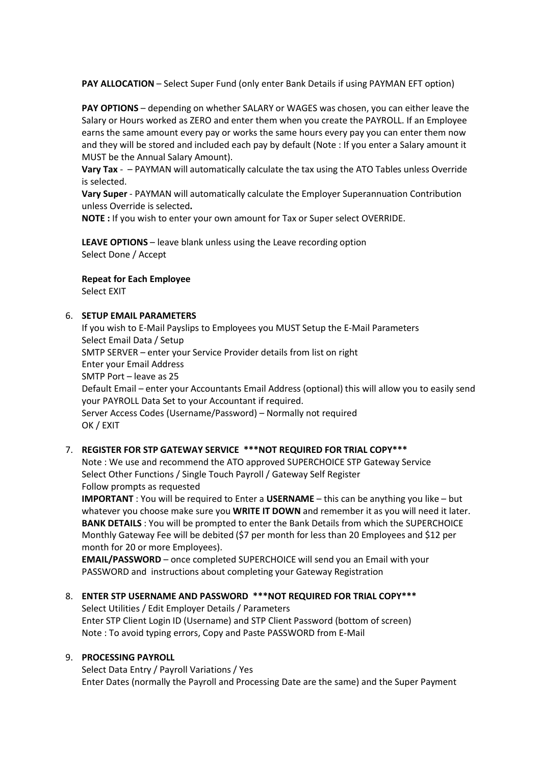**PAY ALLOCATION** – Select Super Fund (only enter Bank Details if using PAYMAN EFT option)

**PAY OPTIONS** – depending on whether SALARY or WAGES was chosen, you can either leave the Salary or Hours worked as ZERO and enter them when you create the PAYROLL. If an Employee earns the same amount every pay or works the same hours every pay you can enter them now and they will be stored and included each pay by default (Note : If you enter a Salary amount it MUST be the Annual Salary Amount).

**Vary Tax** - – PAYMAN will automatically calculate the tax using the ATO Tables unless Override is selected.

**Vary Super** - PAYMAN will automatically calculate the Employer Superannuation Contribution unless Override is selected**.**

**NOTE :** If you wish to enter your own amount for Tax or Super select OVERRIDE.

**LEAVE OPTIONS** – leave blank unless using the Leave recording option Select Done / Accept

# **Repeat for Each Employee**

Select EXIT

# 6. **SETUP EMAIL PARAMETERS**

If you wish to E-Mail Payslips to Employees you MUST Setup the E-Mail Parameters Select Email Data / Setup SMTP SERVER – enter your Service Provider details from list on right Enter your Email Address SMTP Port – leave as 25 Default Email – enter your Accountants Email Address (optional) this will allow you to easily send your PAYROLL Data Set to your Accountant if required. Server Access Codes (Username/Password) – Normally not required OK / EXIT

## 7. **REGISTER FOR STP GATEWAY SERVICE \*\*\*NOT REQUIRED FOR TRIAL COPY\*\*\***

Note : We use and recommend the ATO approved SUPERCHOICE STP Gateway Service Select Other Functions / Single Touch Payroll / Gateway Self Register Follow prompts as requested

**IMPORTANT** : You will be required to Enter a **USERNAME** – this can be anything you like – but whatever you choose make sure you **WRITE IT DOWN** and remember it as you will need it later. **BANK DETAILS** : You will be prompted to enter the Bank Details from which the SUPERCHOICE Monthly Gateway Fee will be debited (\$7 per month for less than 20 Employees and \$12 per month for 20 or more Employees).

**EMAIL/PASSWORD** – once completed SUPERCHOICE will send you an Email with your PASSWORD and instructions about completing your Gateway Registration

## 8. **ENTER STP USERNAME AND PASSWORD \*\*\*NOT REQUIRED FOR TRIAL COPY\*\*\***

Select Utilities / Edit Employer Details / Parameters Enter STP Client Login ID (Username) and STP Client Password (bottom of screen) Note : To avoid typing errors, Copy and Paste PASSWORD from E-Mail

# 9. **PROCESSING PAYROLL**

Select Data Entry / Payroll Variations / Yes Enter Dates (normally the Payroll and Processing Date are the same) and the Super Payment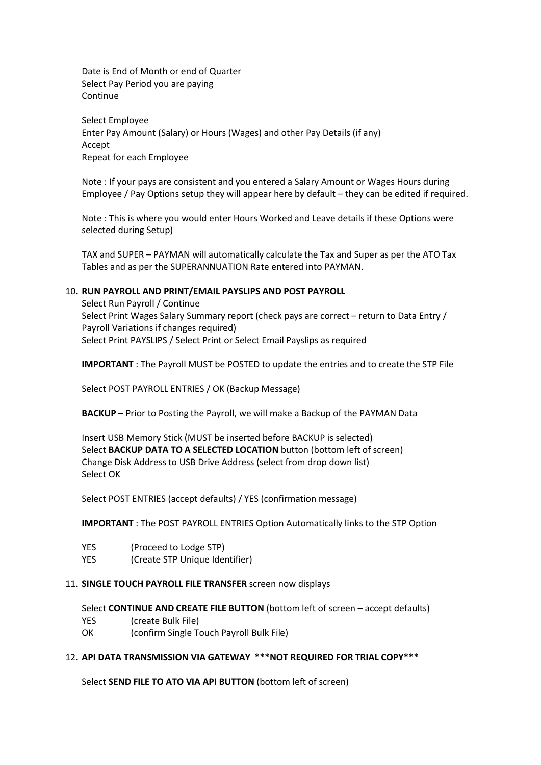Date is End of Month or end of Quarter Select Pay Period you are paying Continue

Select Employee Enter Pay Amount (Salary) or Hours (Wages) and other Pay Details (if any) Accept Repeat for each Employee

Note : If your pays are consistent and you entered a Salary Amount or Wages Hours during Employee / Pay Options setup they will appear here by default – they can be edited if required.

Note : This is where you would enter Hours Worked and Leave details if these Options were selected during Setup)

TAX and SUPER – PAYMAN will automatically calculate the Tax and Super as per the ATO Tax Tables and as per the SUPERANNUATION Rate entered into PAYMAN.

#### 10. **RUN PAYROLL AND PRINT/EMAIL PAYSLIPS AND POST PAYROLL**

Select Run Payroll / Continue Select Print Wages Salary Summary report (check pays are correct – return to Data Entry / Payroll Variations if changes required) Select Print PAYSLIPS / Select Print or Select Email Payslips as required

**IMPORTANT** : The Payroll MUST be POSTED to update the entries and to create the STP File

Select POST PAYROLL ENTRIES / OK (Backup Message)

**BACKUP** – Prior to Posting the Payroll, we will make a Backup of the PAYMAN Data

Insert USB Memory Stick (MUST be inserted before BACKUP is selected) Select **BACKUP DATA TO A SELECTED LOCATION** button (bottom left of screen) Change Disk Address to USB Drive Address (select from drop down list) Select OK

Select POST ENTRIES (accept defaults) / YES (confirmation message)

**IMPORTANT** : The POST PAYROLL ENTRIES Option Automatically links to the STP Option

- YES (Proceed to Lodge STP)
- YES (Create STP Unique Identifier)

#### 11. **SINGLE TOUCH PAYROLL FILE TRANSFER** screen now displays

Select **CONTINUE AND CREATE FILE BUTTON** (bottom left of screen – accept defaults)

- YES (create Bulk File)
- OK (confirm Single Touch Payroll Bulk File)

#### 12. **API DATA TRANSMISSION VIA GATEWAY \*\*\*NOT REQUIRED FOR TRIAL COPY\*\*\***

Select **SEND FILE TO ATO VIA API BUTTON** (bottom left of screen)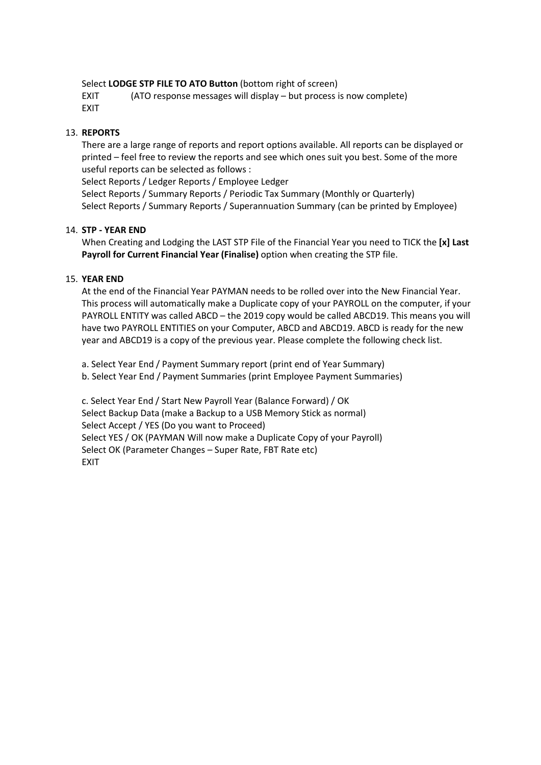# Select **LODGE STP FILE TO ATO Button** (bottom right of screen)

EXIT (ATO response messages will display – but process is now complete) EXIT

## 13. **REPORTS**

There are a large range of reports and report options available. All reports can be displayed or printed – feel free to review the reports and see which ones suit you best. Some of the more useful reports can be selected as follows :

Select Reports / Ledger Reports / Employee Ledger

Select Reports / Summary Reports / Periodic Tax Summary (Monthly or Quarterly) Select Reports / Summary Reports / Superannuation Summary (can be printed by Employee)

# 14. **STP - YEAR END**

When Creating and Lodging the LAST STP File of the Financial Year you need to TICK the **[x] Last Payroll for Current Financial Year (Finalise)** option when creating the STP file.

# 15. **YEAR END**

At the end of the Financial Year PAYMAN needs to be rolled over into the New Financial Year. This process will automatically make a Duplicate copy of your PAYROLL on the computer, if your PAYROLL ENTITY was called ABCD – the 2019 copy would be called ABCD19. This means you will have two PAYROLL ENTITIES on your Computer, ABCD and ABCD19. ABCD is ready for the new year and ABCD19 is a copy of the previous year. Please complete the following check list.

a. Select Year End / Payment Summary report (print end of Year Summary)

b. Select Year End / Payment Summaries (print Employee Payment Summaries)

c. Select Year End / Start New Payroll Year (Balance Forward) / OK Select Backup Data (make a Backup to a USB Memory Stick as normal) Select Accept / YES (Do you want to Proceed) Select YES / OK (PAYMAN Will now make a Duplicate Copy of your Payroll) Select OK (Parameter Changes – Super Rate, FBT Rate etc) EXIT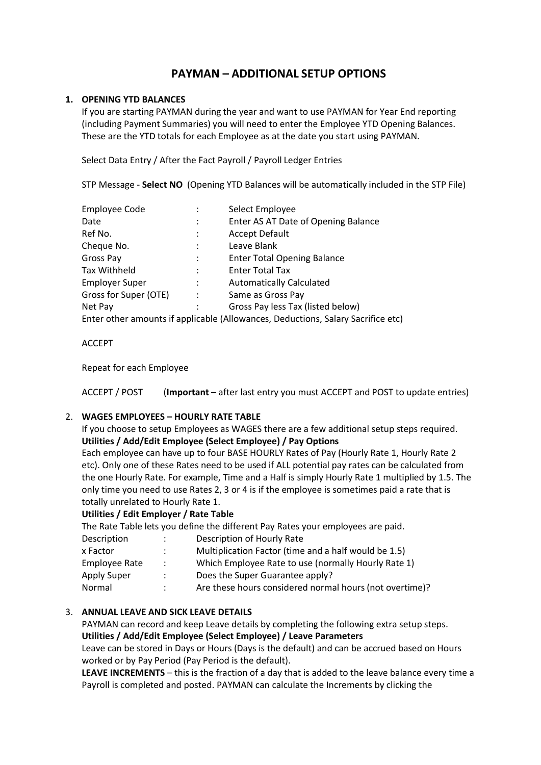# **PAYMAN – ADDITIONAL SETUP OPTIONS**

# **1. OPENING YTD BALANCES**

If you are starting PAYMAN during the year and want to use PAYMAN for Year End reporting (including Payment Summaries) you will need to enter the Employee YTD Opening Balances. These are the YTD totals for each Employee as at the date you start using PAYMAN.

Select Data Entry / After the Fact Payroll / Payroll Ledger Entries

STP Message - **Select NO** (Opening YTD Balances will be automatically included in the STP File)

| <b>Employee Code</b>  |                | Select Employee                                                                  |
|-----------------------|----------------|----------------------------------------------------------------------------------|
| Date                  |                | Enter AS AT Date of Opening Balance                                              |
| Ref No.               | ÷              | <b>Accept Default</b>                                                            |
| Cheque No.            |                | Leave Blank                                                                      |
| Gross Pay             | $\ddot{\cdot}$ | <b>Enter Total Opening Balance</b>                                               |
| <b>Tax Withheld</b>   |                | <b>Enter Total Tax</b>                                                           |
| <b>Employer Super</b> | ÷              | <b>Automatically Calculated</b>                                                  |
| Gross for Super (OTE) | $\ddot{\cdot}$ | Same as Gross Pay                                                                |
| Net Pay               |                | Gross Pay less Tax (listed below)                                                |
|                       |                | Enter other amounts if applicable (Allowances, Deductions, Salary Sacrifice etc) |

## ACCEPT

Repeat for each Employee

ACCEPT / POST (**Important** – after last entry you must ACCEPT and POST to update entries)

## 2. **WAGES EMPLOYEES – HOURLY RATE TABLE**

If you choose to setup Employees as WAGES there are a few additional setup steps required. **Utilities / Add/Edit Employee (Select Employee) / Pay Options**

Each employee can have up to four BASE HOURLY Rates of Pay (Hourly Rate 1, Hourly Rate 2 etc). Only one of these Rates need to be used if ALL potential pay rates can be calculated from the one Hourly Rate. For example, Time and a Half is simply Hourly Rate 1 multiplied by 1.5. The only time you need to use Rates 2, 3 or 4 is if the employee is sometimes paid a rate that is totally unrelated to Hourly Rate 1.

# **Utilities / Edit Employer / Rate Table**

The Rate Table lets you define the different Pay Rates your employees are paid.

| Description   | Description of Hourly Rate                              |
|---------------|---------------------------------------------------------|
| x Factor      | Multiplication Factor (time and a half would be 1.5)    |
| Employee Rate | Which Employee Rate to use (normally Hourly Rate 1)     |
| Apply Super   | Does the Super Guarantee apply?                         |
| Normal        | Are these hours considered normal hours (not overtime)? |

# 3. **ANNUAL LEAVE AND SICK LEAVE DETAILS**

PAYMAN can record and keep Leave details by completing the following extra setup steps. **Utilities / Add/Edit Employee (Select Employee) / Leave Parameters**

Leave can be stored in Days or Hours (Days is the default) and can be accrued based on Hours worked or by Pay Period (Pay Period is the default).

**LEAVE INCREMENTS** – this is the fraction of a day that is added to the leave balance every time a Payroll is completed and posted. PAYMAN can calculate the Increments by clicking the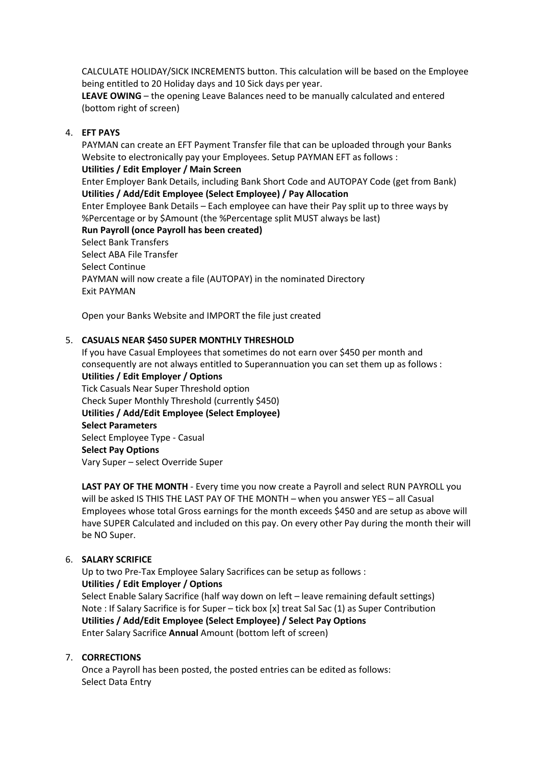CALCULATE HOLIDAY/SICK INCREMENTS button. This calculation will be based on the Employee being entitled to 20 Holiday days and 10 Sick days per year.

**LEAVE OWING** – the opening Leave Balances need to be manually calculated and entered (bottom right of screen)

## 4. **EFT PAYS**

PAYMAN can create an EFT Payment Transfer file that can be uploaded through your Banks Website to electronically pay your Employees. Setup PAYMAN EFT as follows : **Utilities / Edit Employer / Main Screen**

Enter Employer Bank Details, including Bank Short Code and AUTOPAY Code (get from Bank) **Utilities / Add/Edit Employee (Select Employee) / Pay Allocation**

Enter Employee Bank Details – Each employee can have their Pay split up to three ways by %Percentage or by \$Amount (the %Percentage split MUST always be last)

#### **Run Payroll (once Payroll has been created)**

Select Bank Transfers

Select ABA File Transfer

Select Continue

PAYMAN will now create a file (AUTOPAY) in the nominated Directory Exit PAYMAN

Open your Banks Website and IMPORT the file just created

## 5. **CASUALS NEAR \$450 SUPER MONTHLY THRESHOLD**

If you have Casual Employees that sometimes do not earn over \$450 per month and consequently are not always entitled to Superannuation you can set them up as follows : **Utilities / Edit Employer / Options**

Tick Casuals Near Super Threshold option Check Super Monthly Threshold (currently \$450) **Utilities / Add/Edit Employee (Select Employee) Select Parameters** Select Employee Type - Casual **Select Pay Options** Vary Super – select Override Super

**LAST PAY OF THE MONTH** - Every time you now create a Payroll and select RUN PAYROLL you will be asked IS THIS THE LAST PAY OF THE MONTH – when you answer YES – all Casual Employees whose total Gross earnings for the month exceeds \$450 and are setup as above will have SUPER Calculated and included on this pay. On every other Pay during the month their will be NO Super.

## 6. **SALARY SCRIFICE**

Up to two Pre-Tax Employee Salary Sacrifices can be setup as follows : **Utilities / Edit Employer / Options** Select Enable Salary Sacrifice (half way down on left – leave remaining default settings) Note : If Salary Sacrifice is for Super – tick box [x] treat Sal Sac (1) as Super Contribution **Utilities / Add/Edit Employee (Select Employee) / Select Pay Options** Enter Salary Sacrifice **Annual** Amount (bottom left of screen)

## 7. **CORRECTIONS**

Once a Payroll has been posted, the posted entries can be edited as follows: Select Data Entry